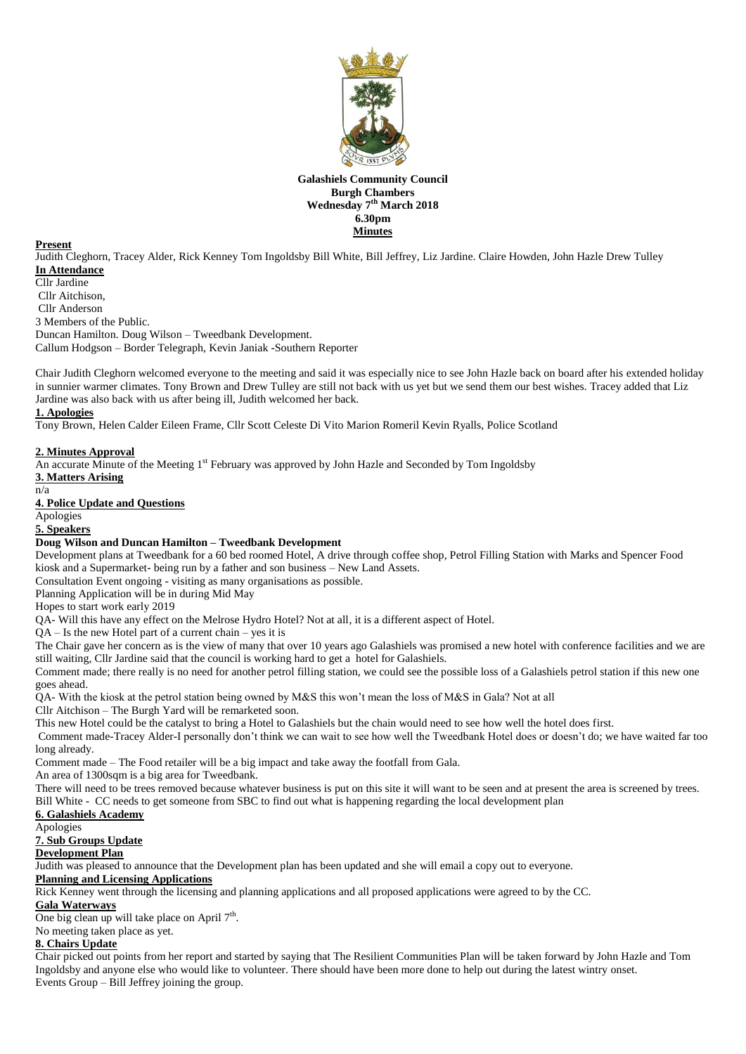

# **Galashiels Community Council Burgh Chambers Wednesday 7 th March 2018 6.30pm Minutes**

#### **Present**

Judith Cleghorn, Tracey Alder, Rick Kenney Tom Ingoldsby Bill White, Bill Jeffrey, Liz Jardine. Claire Howden, John Hazle Drew Tulley **In Attendance**

#### Cllr Jardine

Cllr Aitchison,

Cllr Anderson

3 Members of the Public.

Duncan Hamilton. Doug Wilson – Tweedbank Development.

Callum Hodgson – Border Telegraph, Kevin Janiak -Southern Reporter

Chair Judith Cleghorn welcomed everyone to the meeting and said it was especially nice to see John Hazle back on board after his extended holiday in sunnier warmer climates. Tony Brown and Drew Tulley are still not back with us yet but we send them our best wishes. Tracey added that Liz Jardine was also back with us after being ill, Judith welcomed her back.

## **1. Apologies**

Tony Brown, Helen Calder Eileen Frame, Cllr Scott Celeste Di Vito Marion Romeril Kevin Ryalls, Police Scotland

## **2. Minutes Approval**

An accurate Minute of the Meeting 1st February was approved by John Hazle and Seconded by Tom Ingoldsby

**3. Matters Arising** n/a

#### **4. Police Update and Questions**

Apologies

#### **5. Speakers**

## **Doug Wilson and Duncan Hamilton – Tweedbank Development**

Development plans at Tweedbank for a 60 bed roomed Hotel, A drive through coffee shop, Petrol Filling Station with Marks and Spencer Food kiosk and a Supermarket- being run by a father and son business – New Land Assets.

Consultation Event ongoing - visiting as many organisations as possible.

Planning Application will be in during Mid May

Hopes to start work early 2019

QA- Will this have any effect on the Melrose Hydro Hotel? Not at all, it is a different aspect of Hotel.

QA – Is the new Hotel part of a current chain – yes it is

The Chair gave her concern as is the view of many that over 10 years ago Galashiels was promised a new hotel with conference facilities and we are still waiting, Cllr Jardine said that the council is working hard to get a hotel for Galashiels.

Comment made; there really is no need for another petrol filling station, we could see the possible loss of a Galashiels petrol station if this new one goes ahead.

QA- With the kiosk at the petrol station being owned by M&S this won't mean the loss of M&S in Gala? Not at all

Cllr Aitchison – The Burgh Yard will be remarketed soon.

This new Hotel could be the catalyst to bring a Hotel to Galashiels but the chain would need to see how well the hotel does first.

Comment made-Tracey Alder-I personally don't think we can wait to see how well the Tweedbank Hotel does or doesn't do; we have waited far too long already.

Comment made – The Food retailer will be a big impact and take away the footfall from Gala.

An area of 1300sqm is a big area for Tweedbank.

There will need to be trees removed because whatever business is put on this site it will want to be seen and at present the area is screened by trees. Bill White - CC needs to get someone from SBC to find out what is happening regarding the local development plan

# **6. Galashiels Academy**

Apologies

# **7. Sub Groups Update**

# **Development Plan**

Judith was pleased to announce that the Development plan has been updated and she will email a copy out to everyone.

# **Planning and Licensing Applications**

Rick Kenney went through the licensing and planning applications and all proposed applications were agreed to by the CC.

## **Gala Waterways**

One big clean up will take place on April  $7<sup>th</sup>$ . No meeting taken place as yet.

# **8. Chairs Update**

Chair picked out points from her report and started by saying that The Resilient Communities Plan will be taken forward by John Hazle and Tom Ingoldsby and anyone else who would like to volunteer. There should have been more done to help out during the latest wintry onset. Events Group – Bill Jeffrey joining the group.